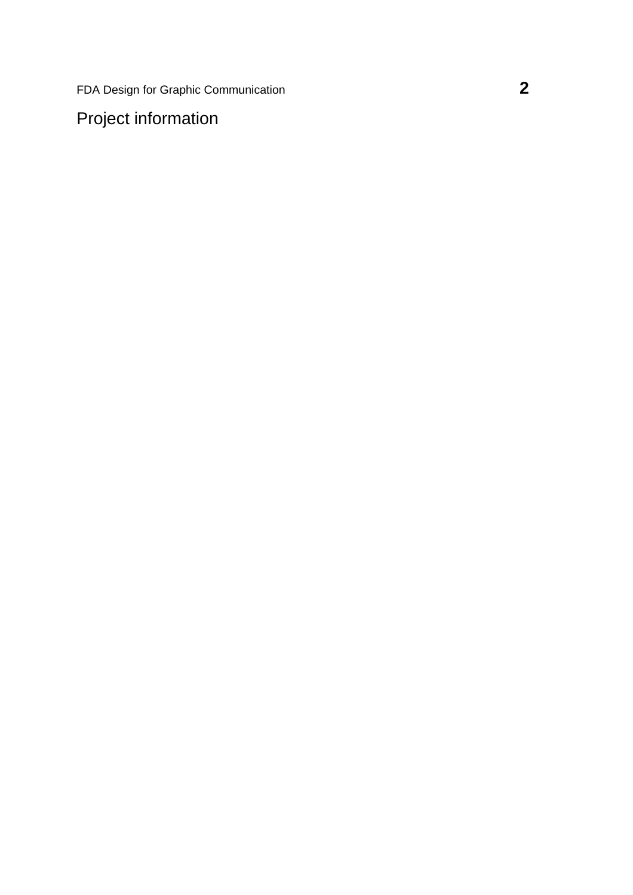FDA Design for Graphic Communication **2**

Project information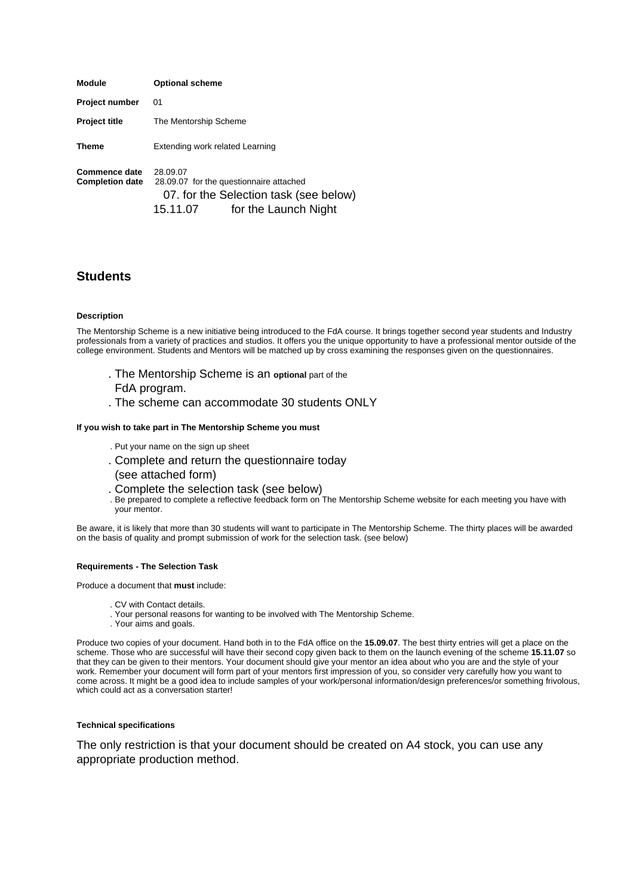| <b>Module</b>                           | <b>Optional scheme</b>                                                                                                            |
|-----------------------------------------|-----------------------------------------------------------------------------------------------------------------------------------|
| <b>Project number</b>                   | 01                                                                                                                                |
| <b>Project title</b>                    | The Mentorship Scheme                                                                                                             |
| <b>Theme</b>                            | Extending work related Learning                                                                                                   |
| Commence date<br><b>Completion date</b> | 28.09.07<br>28.09.07 for the questionnaire attached<br>07. for the Selection task (see below)<br>for the Launch Night<br>15.11.07 |

# **Students**

#### **Description**

The Mentorship Scheme is a new initiative being introduced to the FdA course. It brings together second year students and Industry professionals from a variety of practices and studios. It offers you the unique opportunity to have a professional mentor outside of the college environment. Students and Mentors will be matched up by cross examining the responses given on the questionnaires.

- . The Mentorship Scheme is an **optional** part of the
- FdA program.
- . The scheme can accommodate 30 students ONLY

#### **If you wish to take part in The Mentorship Scheme you must**

- . Put your name on the sign up sheet
- . Complete and return the questionnaire today (see attached form)
- . Complete the selection task (see below)
- . Be prepared to complete a reflective feedback form on The Mentorship Scheme website for each meeting you have with your mentor.

Be aware, it is likely that more than 30 students will want to participate in The Mentorship Scheme. The thirty places will be awarded on the basis of quality and prompt submission of work for the selection task. (see below)

#### **Requirements - The Selection Task**

Produce a document that **must** include:

- . CV with Contact details.
- . Your personal reasons for wanting to be involved with The Mentorship Scheme.
- . Your aims and goals.

Produce two copies of your document. Hand both in to the FdA office on the **15.09.07**. The best thirty entries will get a place on the scheme. Those who are successful will have their second copy given back to them on the launch evening of the scheme **15.11.07** so that they can be given to their mentors. Your document should give your mentor an idea about who you are and the style of your work. Remember your document will form part of your mentors first impression of you, so consider very carefully how you want to come across. It might be a good idea to include samples of your work/personal information/design preferences/or something frivolous, which could act as a conversation starter!

#### **Technical specifications**

The only restriction is that your document should be created on A4 stock, you can use any appropriate production method.